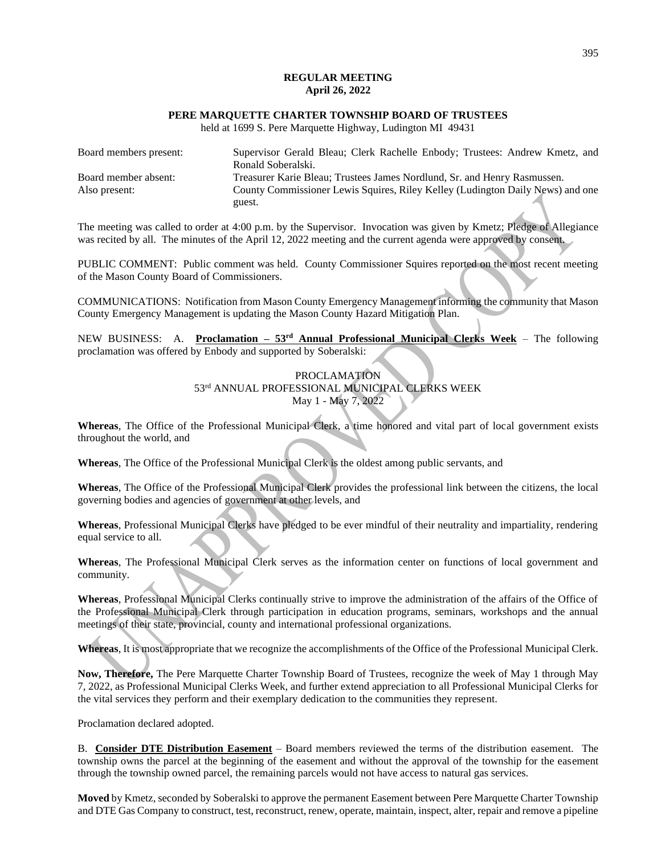# **REGULAR MEETING April 26, 2022**

# **PERE MARQUETTE CHARTER TOWNSHIP BOARD OF TRUSTEES**

held at 1699 S. Pere Marquette Highway, Ludington MI 49431

| Board members present: | Supervisor Gerald Bleau; Clerk Rachelle Enbody; Trustees: Andrew Kmetz, and    |
|------------------------|--------------------------------------------------------------------------------|
|                        | Ronald Soberalski.                                                             |
| Board member absent:   | Treasurer Karie Bleau; Trustees James Nordlund, Sr. and Henry Rasmussen.       |
| Also present:          | County Commissioner Lewis Squires, Riley Kelley (Ludington Daily News) and one |
|                        | guest.                                                                         |

The meeting was called to order at 4:00 p.m. by the Supervisor. Invocation was given by Kmetz; Pledge of Allegiance was recited by all. The minutes of the April 12, 2022 meeting and the current agenda were approved by consent.

PUBLIC COMMENT: Public comment was held. County Commissioner Squires reported on the most recent meeting of the Mason County Board of Commissioners.

COMMUNICATIONS: Notification from Mason County Emergency Management informing the community that Mason County Emergency Management is updating the Mason County Hazard Mitigation Plan.

NEW BUSINESS: A. **Proclamation – 53rd Annual Professional Municipal Clerks Week** – The following proclamation was offered by Enbody and supported by Soberalski:

## PROCLAMATION 53rd ANNUAL PROFESSIONAL MUNICIPAL CLERKS WEEK May 1 - May 7, 2022

**Whereas**, The Office of the Professional Municipal Clerk, a time honored and vital part of local government exists throughout the world, and

**Whereas**, The Office of the Professional Municipal Clerk is the oldest among public servants, and

**Whereas**, The Office of the Professional Municipal Clerk provides the professional link between the citizens, the local governing bodies and agencies of government at other levels, and

**Whereas**, Professional Municipal Clerks have pledged to be ever mindful of their neutrality and impartiality, rendering equal service to all.

**Whereas**, The Professional Municipal Clerk serves as the information center on functions of local government and community.

**Whereas**, Professional Municipal Clerks continually strive to improve the administration of the affairs of the Office of the Professional Municipal Clerk through participation in education programs, seminars, workshops and the annual meetings of their state, provincial, county and international professional organizations.

**Whereas**, It is most appropriate that we recognize the accomplishments of the Office of the Professional Municipal Clerk.

**Now, Therefore,** The Pere Marquette Charter Township Board of Trustees, recognize the week of May 1 through May 7, 2022, as Professional Municipal Clerks Week, and further extend appreciation to all Professional Municipal Clerks for the vital services they perform and their exemplary dedication to the communities they represent.

Proclamation declared adopted.

B. **Consider DTE Distribution Easement** – Board members reviewed the terms of the distribution easement. The township owns the parcel at the beginning of the easement and without the approval of the township for the easement through the township owned parcel, the remaining parcels would not have access to natural gas services.

**Moved** by Kmetz, seconded by Soberalski to approve the permanent Easement between Pere Marquette Charter Township and DTE Gas Company to construct, test, reconstruct, renew, operate, maintain, inspect, alter, repair and remove a pipeline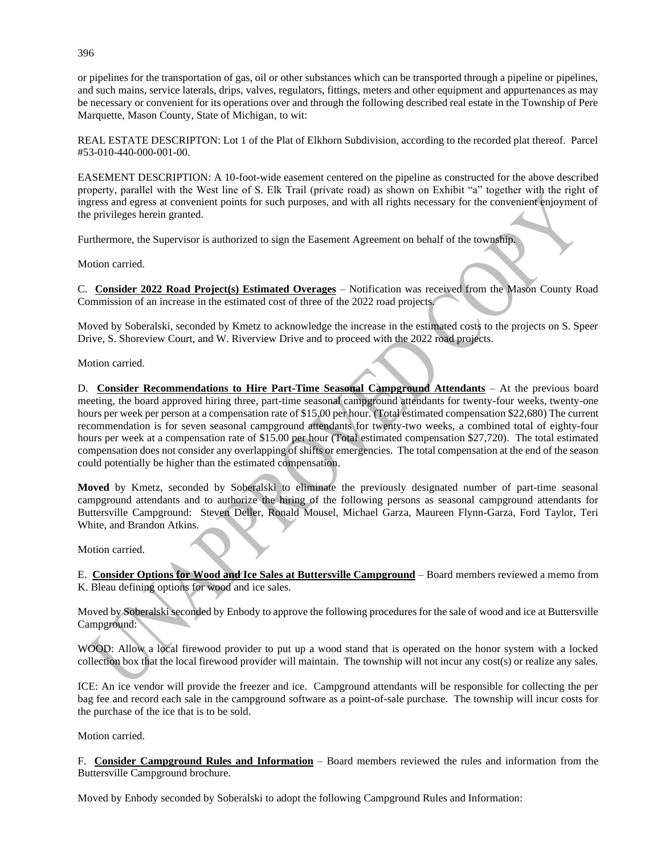or pipelines for the transportation of gas, oil or other substances which can be transported through a pipeline or pipelines, and such mains, service laterals, drips, valves, regulators, fittings, meters and other equipment and appurtenances as may be necessary or convenient for its operations over and through the following described real estate in the Township of Pere Marquette, Mason County, State of Michigan, to wit:

REAL ESTATE DESCRIPTON: Lot 1 of the Plat of Elkhorn Subdivision, according to the recorded plat thereof. Parcel #53-010-440-000-001-00.

EASEMENT DESCRIPTION: A 10-foot-wide easement centered on the pipeline as constructed for the above described property, parallel with the West line of S. Elk Trail (private road) as shown on Exhibit "a" together with the right of ingress and egress at convenient points for such purposes, and with all rights necessary for the convenient enjoyment of the privileges herein granted.

Furthermore, the Supervisor is authorized to sign the Easement Agreement on behalf of the township.

Motion carried.

C. **Consider 2022 Road Project(s) Estimated Overages** – Notification was received from the Mason County Road Commission of an increase in the estimated cost of three of the 2022 road projects.

Moved by Soberalski, seconded by Kmetz to acknowledge the increase in the estimated costs to the projects on S. Speer Drive, S. Shoreview Court, and W. Riverview Drive and to proceed with the 2022 road projects.

Motion carried.

D. **Consider Recommendations to Hire Part-Time Seasonal Campground Attendants** – At the previous board meeting, the board approved hiring three, part-time seasonal campground attendants for twenty-four weeks, twenty-one hours per week per person at a compensation rate of \$15.00 per hour. (Total estimated compensation \$22,680) The current recommendation is for seven seasonal campground attendants for twenty-two weeks, a combined total of eighty-four hours per week at a compensation rate of \$15.00 per hour (Total estimated compensation \$27,720). The total estimated compensation does not consider any overlapping of shifts or emergencies. The total compensation at the end of the season could potentially be higher than the estimated compensation.

**Moved** by Kmetz, seconded by Soberalski to eliminate the previously designated number of part-time seasonal campground attendants and to authorize the hiring of the following persons as seasonal campground attendants for Buttersville Campground: Steven Deller, Ronald Mousel, Michael Garza, Maureen Flynn-Garza, Ford Taylor, Teri White, and Brandon Atkins.

Motion carried.

E. **Consider Options for Wood and Ice Sales at Buttersville Campground** – Board members reviewed a memo from K. Bleau defining options for wood and ice sales.

Moved by Soberalski seconded by Enbody to approve the following procedures for the sale of wood and ice at Buttersville Campground:

WOOD: Allow a local firewood provider to put up a wood stand that is operated on the honor system with a locked collection box that the local firewood provider will maintain. The township will not incur any cost(s) or realize any sales.

ICE: An ice vendor will provide the freezer and ice. Campground attendants will be responsible for collecting the per bag fee and record each sale in the campground software as a point-of-sale purchase. The township will incur costs for the purchase of the ice that is to be sold.

Motion carried.

F. **Consider Campground Rules and Information** – Board members reviewed the rules and information from the Buttersville Campground brochure.

Moved by Enbody seconded by Soberalski to adopt the following Campground Rules and Information:

396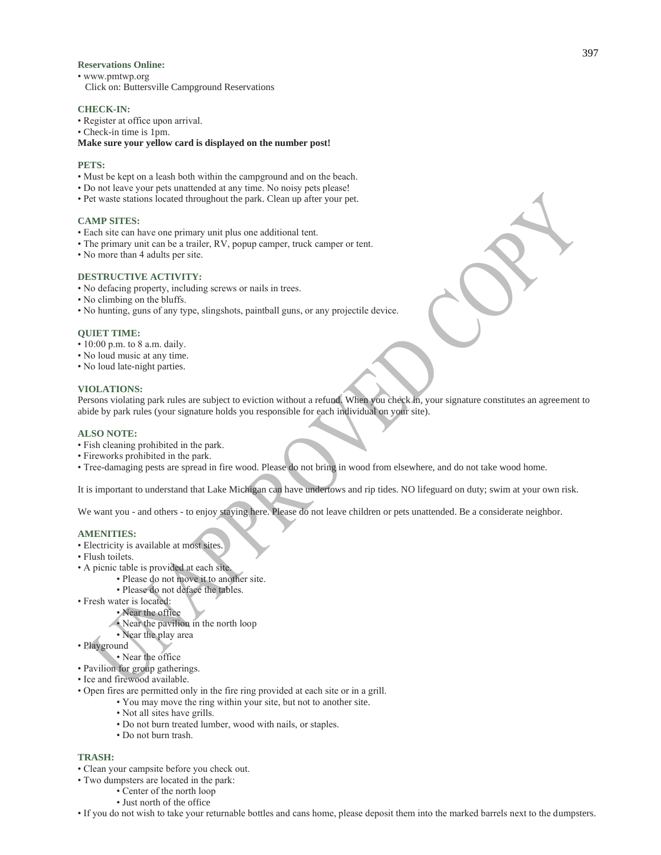#### **Reservations Online:**

- www.pmtwp.org
- Click on: Buttersville Campground Reservations

#### **CHECK-IN:**

- Register at office upon arrival.
- Check-in time is 1pm.

## **Make sure your yellow card is displayed on the number post!**

## **PETS:**

- Must be kept on a leash both within the campground and on the beach.
- Do not leave your pets unattended at any time. No noisy pets please!
- Pet waste stations located throughout the park. Clean up after your pet.

#### **CAMP SITES:**

- Each site can have one primary unit plus one additional tent.
- The primary unit can be a trailer, RV, popup camper, truck camper or tent.
- No more than 4 adults per site.

## **DESTRUCTIVE ACTIVITY:**

- No defacing property, including screws or nails in trees.
- No climbing on the bluffs.
- No hunting, guns of any type, slingshots, paintball guns, or any projectile device.

#### **QUIET TIME:**

- 10:00 p.m. to 8 a.m. daily.
- No loud music at any time.
- No loud late-night parties.

#### **VIOLATIONS:**

Persons violating park rules are subject to eviction without a refund. When you check in, your signature constitutes an agreement to abide by park rules (your signature holds you responsible for each individual on your site).

#### **ALSO NOTE:**

- Fish cleaning prohibited in the park.
- Fireworks prohibited in the park.
- Tree-damaging pests are spread in fire wood. Please do not bring in wood from elsewhere, and do not take wood home.

It is important to understand that Lake Michigan can have undertows and rip tides. NO lifeguard on duty; swim at your own risk.

We want you - and others - to enjoy staying here. Please do not leave children or pets unattended. Be a considerate neighbor.

#### **AMENITIES:**

- Electricity is available at most sites.
- Flush toilets.
- A picnic table is provided at each site.
	- Please do not move it to another site.
	- Please do not deface the tables.
- Fresh water is located:
	- Near the office
	- Near the pavilion in the north loop
	- Near the play area
- Playground
- Near the office
- Pavilion for group gatherings.
- Ice and firewood available.
- Open fires are permitted only in the fire ring provided at each site or in a grill.
	- You may move the ring within your site, but not to another site.
	- Not all sites have grills.
	- Do not burn treated lumber, wood with nails, or staples.
	- Do not burn trash.

#### **TRASH:**

- Clean your campsite before you check out.
- Two dumpsters are located in the park:
	- Center of the north loop
	- Just north of the office

• If you do not wish to take your returnable bottles and cans home, please deposit them into the marked barrels next to the dumpsters.